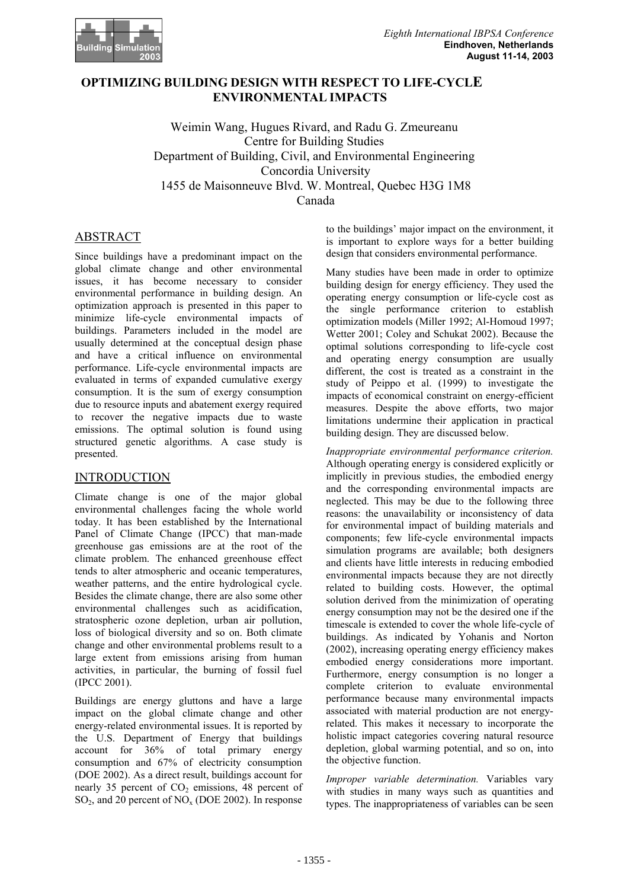

## **OPTIMIZING BUILDING DESIGN WITH RESPECT TO LIFE-CYCLE ENVIRONMENTAL IMPACTS**

Weimin Wang, Hugues Rivard, and Radu G. Zmeureanu Centre for Building Studies Department of Building, Civil, and Environmental Engineering Concordia University 1455 de Maisonneuve Blvd. W. Montreal, Quebec H3G 1M8 Canada

# ABSTRACT

Since buildings have a predominant impact on the global climate change and other environmental issues, it has become necessary to consider environmental performance in building design. An optimization approach is presented in this paper to minimize life-cycle environmental impacts of buildings. Parameters included in the model are usually determined at the conceptual design phase and have a critical influence on environmental performance. Life-cycle environmental impacts are evaluated in terms of expanded cumulative exergy consumption. It is the sum of exergy consumption due to resource inputs and abatement exergy required to recover the negative impacts due to waste emissions. The optimal solution is found using structured genetic algorithms. A case study is presented.

## INTRODUCTION

Climate change is one of the major global environmental challenges facing the whole world today. It has been established by the International Panel of Climate Change (IPCC) that man-made greenhouse gas emissions are at the root of the climate problem. The enhanced greenhouse effect tends to alter atmospheric and oceanic temperatures, weather patterns, and the entire hydrological cycle. Besides the climate change, there are also some other environmental challenges such as acidification, stratospheric ozone depletion, urban air pollution, loss of biological diversity and so on. Both climate change and other environmental problems result to a large extent from emissions arising from human activities, in particular, the burning of fossil fuel (IPCC 2001).

Buildings are energy gluttons and have a large impact on the global climate change and other energy-related environmental issues. It is reported by the U.S. Department of Energy that buildings account for 36% of total primary energy consumption and 67% of electricity consumption (DOE 2002). As a direct result, buildings account for nearly 35 percent of  $CO<sub>2</sub>$  emissions, 48 percent of  $SO_2$ , and 20 percent of  $NO_x (DOE 2002)$ . In response

to the buildings' major impact on the environment, it is important to explore ways for a better building design that considers environmental performance.

Many studies have been made in order to optimize building design for energy efficiency. They used the operating energy consumption or life-cycle cost as the single performance criterion to establish optimization models (Miller 1992; Al-Homoud 1997; Wetter 2001; Coley and Schukat 2002). Because the optimal solutions corresponding to life-cycle cost and operating energy consumption are usually different, the cost is treated as a constraint in the study of Peippo et al. (1999) to investigate the impacts of economical constraint on energy-efficient measures. Despite the above efforts, two major limitations undermine their application in practical building design. They are discussed below.

*Inappropriate environmental performance criterion.* Although operating energy is considered explicitly or implicitly in previous studies, the embodied energy and the corresponding environmental impacts are neglected. This may be due to the following three reasons: the unavailability or inconsistency of data for environmental impact of building materials and components; few life-cycle environmental impacts simulation programs are available; both designers and clients have little interests in reducing embodied environmental impacts because they are not directly related to building costs. However, the optimal solution derived from the minimization of operating energy consumption may not be the desired one if the timescale is extended to cover the whole life-cycle of buildings. As indicated by Yohanis and Norton (2002), increasing operating energy efficiency makes embodied energy considerations more important. Furthermore, energy consumption is no longer a complete criterion to evaluate environmental performance because many environmental impacts associated with material production are not energyrelated. This makes it necessary to incorporate the holistic impact categories covering natural resource depletion, global warming potential, and so on, into the objective function.

*Improper variable determination.* Variables vary with studies in many ways such as quantities and types. The inappropriateness of variables can be seen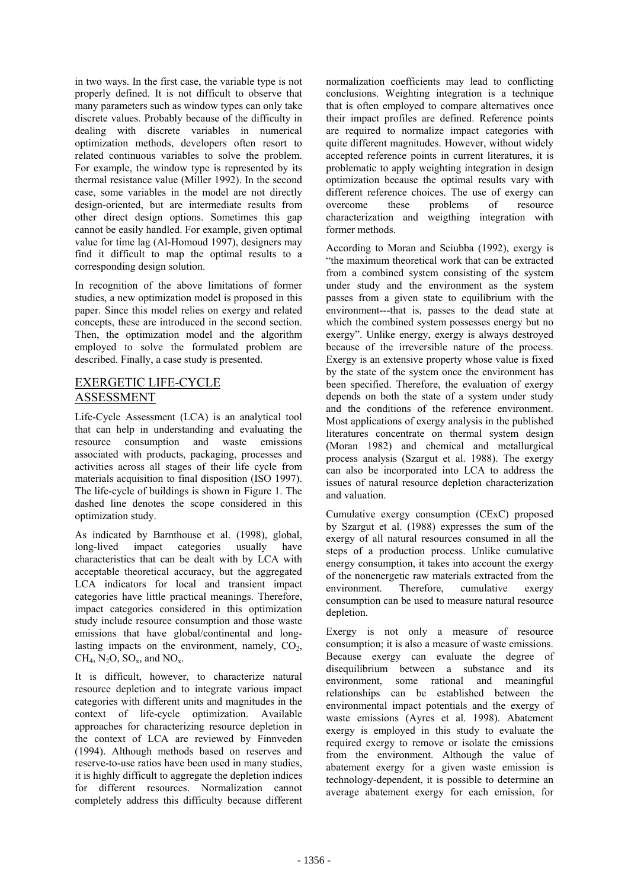in two ways. In the first case, the variable type is not properly defined. It is not difficult to observe that many parameters such as window types can only take discrete values. Probably because of the difficulty in dealing with discrete variables in numerical optimization methods, developers often resort to related continuous variables to solve the problem. For example, the window type is represented by its thermal resistance value (Miller 1992). In the second case, some variables in the model are not directly design-oriented, but are intermediate results from other direct design options. Sometimes this gap cannot be easily handled. For example, given optimal value for time lag (Al-Homoud 1997), designers may find it difficult to map the optimal results to a corresponding design solution.

In recognition of the above limitations of former studies, a new optimization model is proposed in this paper. Since this model relies on exergy and related concepts, these are introduced in the second section. Then, the optimization model and the algorithm employed to solve the formulated problem are described. Finally, a case study is presented.

## EXERGETIC LIFE-CYCLE ASSESSMENT

Life-Cycle Assessment (LCA) is an analytical tool that can help in understanding and evaluating the resource consumption and waste emissions associated with products, packaging, processes and activities across all stages of their life cycle from materials acquisition to final disposition (ISO 1997). The life-cycle of buildings is shown in Figure 1. The dashed line denotes the scope considered in this optimization study.

As indicated by Barnthouse et al. (1998), global, long-lived impact categories usually have characteristics that can be dealt with by LCA with acceptable theoretical accuracy, but the aggregated LCA indicators for local and transient impact categories have little practical meanings. Therefore, impact categories considered in this optimization study include resource consumption and those waste emissions that have global/continental and longlasting impacts on the environment, namely,  $CO<sub>2</sub>$ ,  $CH<sub>4</sub>, N<sub>2</sub>O, SO<sub>x</sub>, and NO<sub>x</sub>.$ 

It is difficult, however, to characterize natural resource depletion and to integrate various impact categories with different units and magnitudes in the context of life-cycle optimization. Available approaches for characterizing resource depletion in the context of LCA are reviewed by Finnveden (1994). Although methods based on reserves and reserve-to-use ratios have been used in many studies, it is highly difficult to aggregate the depletion indices for different resources. Normalization cannot completely address this difficulty because different

normalization coefficients may lead to conflicting conclusions. Weighting integration is a technique that is often employed to compare alternatives once their impact profiles are defined. Reference points are required to normalize impact categories with quite different magnitudes. However, without widely accepted reference points in current literatures, it is problematic to apply weighting integration in design optimization because the optimal results vary with different reference choices. The use of exergy can overcome these problems of resource characterization and weigthing integration with former methods.

According to Moran and Sciubba (1992), exergy is "the maximum theoretical work that can be extracted from a combined system consisting of the system under study and the environment as the system passes from a given state to equilibrium with the environment---that is, passes to the dead state at which the combined system possesses energy but no exergy". Unlike energy, exergy is always destroyed because of the irreversible nature of the process. Exergy is an extensive property whose value is fixed by the state of the system once the environment has been specified. Therefore, the evaluation of exergy depends on both the state of a system under study and the conditions of the reference environment. Most applications of exergy analysis in the published literatures concentrate on thermal system design (Moran 1982) and chemical and metallurgical process analysis (Szargut et al. 1988). The exergy can also be incorporated into LCA to address the issues of natural resource depletion characterization and valuation.

Cumulative exergy consumption (CExC) proposed by Szargut et al. (1988) expresses the sum of the exergy of all natural resources consumed in all the steps of a production process. Unlike cumulative energy consumption, it takes into account the exergy of the nonenergetic raw materials extracted from the environment. Therefore, cumulative exergy consumption can be used to measure natural resource depletion.

Exergy is not only a measure of resource consumption; it is also a measure of waste emissions. Because exergy can evaluate the degree of disequilibrium between a substance and its environment, some rational and meaningful relationships can be established between the environmental impact potentials and the exergy of waste emissions (Ayres et al. 1998). Abatement exergy is employed in this study to evaluate the required exergy to remove or isolate the emissions from the environment. Although the value of abatement exergy for a given waste emission is technology-dependent, it is possible to determine an average abatement exergy for each emission, for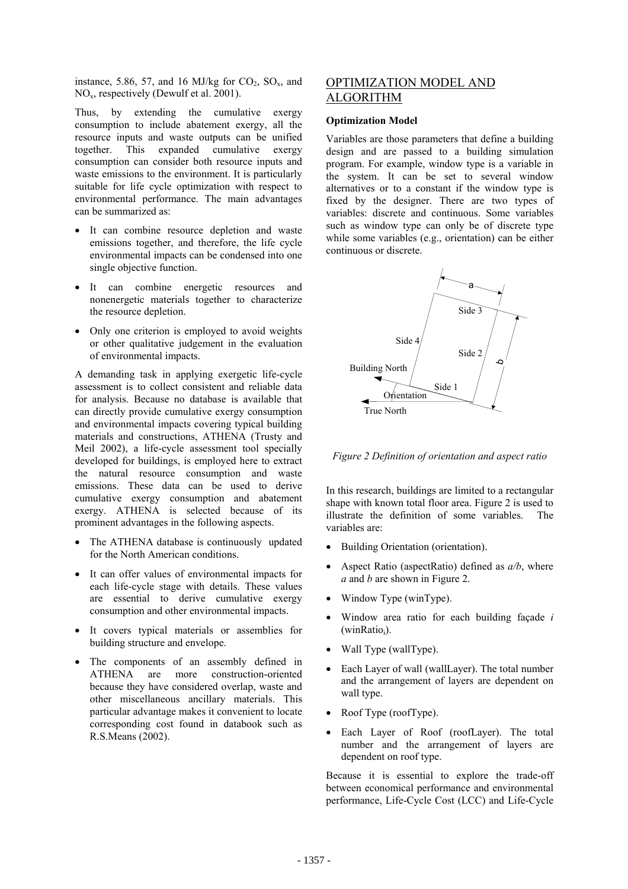instance, 5.86, 57, and 16 MJ/kg for  $CO_2$ ,  $SO_x$ , and NOx, respectively (Dewulf et al. 2001).

Thus, by extending the cumulative exergy consumption to include abatement exergy, all the resource inputs and waste outputs can be unified together. This expanded cumulative exergy consumption can consider both resource inputs and waste emissions to the environment. It is particularly suitable for life cycle optimization with respect to environmental performance. The main advantages can be summarized as:

- It can combine resource depletion and waste emissions together, and therefore, the life cycle environmental impacts can be condensed into one single objective function.
- It can combine energetic resources and nonenergetic materials together to characterize the resource depletion.
- Only one criterion is employed to avoid weights or other qualitative judgement in the evaluation of environmental impacts.

A demanding task in applying exergetic life-cycle assessment is to collect consistent and reliable data for analysis. Because no database is available that can directly provide cumulative exergy consumption and environmental impacts covering typical building materials and constructions, ATHENA (Trusty and Meil 2002), a life-cycle assessment tool specially developed for buildings, is employed here to extract the natural resource consumption and waste emissions. These data can be used to derive cumulative exergy consumption and abatement exergy. ATHENA is selected because of its prominent advantages in the following aspects.

- The ATHENA database is continuously updated for the North American conditions.
- It can offer values of environmental impacts for each life-cycle stage with details. These values are essential to derive cumulative exergy consumption and other environmental impacts.
- It covers typical materials or assemblies for building structure and envelope.
- The components of an assembly defined in ATHENA are more construction-oriented because they have considered overlap, waste and other miscellaneous ancillary materials. This particular advantage makes it convenient to locate corresponding cost found in databook such as R.S. Means  $(2002)$ .

## OPTIMIZATION MODEL AND ALGORITHM

#### **Optimization Model**

Variables are those parameters that define a building design and are passed to a building simulation program. For example, window type is a variable in the system. It can be set to several window alternatives or to a constant if the window type is fixed by the designer. There are two types of variables: discrete and continuous. Some variables such as window type can only be of discrete type while some variables (e.g., orientation) can be either continuous or discrete.



*Figure 2 Definition of orientation and aspect ratio* 

In this research, buildings are limited to a rectangular shape with known total floor area. Figure 2 is used to illustrate the definition of some variables. The variables are:

- Building Orientation (orientation).
- Aspect Ratio (aspectRatio) defined as  $a/b$ , where *a* and *b* are shown in Figure 2.
- Window Type (winType).
- Window area ratio for each building façade *i*  $(winRatio<sub>i</sub>)$ .
- Wall Type (wallType).
- Each Layer of wall (wallLayer). The total number and the arrangement of layers are dependent on wall type.
- Roof Type (roof Type).
- Each Layer of Roof (roofLayer). The total number and the arrangement of layers are dependent on roof type.

Because it is essential to explore the trade-off between economical performance and environmental performance, Life-Cycle Cost (LCC) and Life-Cycle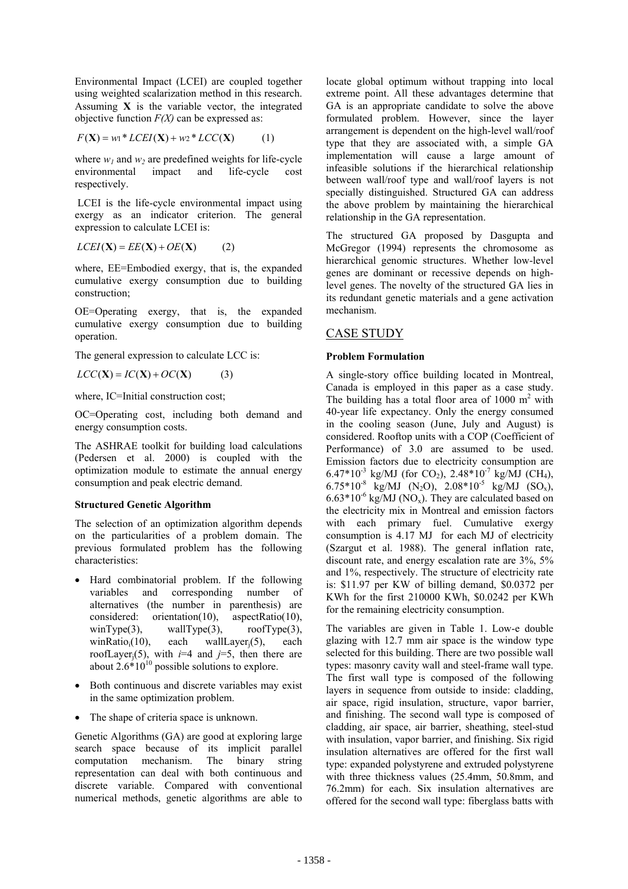Environmental Impact (LCEI) are coupled together using weighted scalarization method in this research. Assuming **X** is the variable vector, the integrated objective function *F(X)* can be expressed as:

$$
F(\mathbf{X}) = w_1 * LCEI(\mathbf{X}) + w_2 * LCC(\mathbf{X})
$$
 (1)

where  $w_1$  and  $w_2$  are predefined weights for life-cycle environmental impact and life-cycle cost respectively.

 LCEI is the life-cycle environmental impact using exergy as an indicator criterion. The general expression to calculate LCEI is:

$$
LCEI(\mathbf{X}) = EE(\mathbf{X}) + OE(\mathbf{X}) \tag{2}
$$

where, EE=Embodied exergy, that is, the expanded cumulative exergy consumption due to building construction;

OE=Operating exergy, that is, the expanded cumulative exergy consumption due to building operation.

The general expression to calculate LCC is:

 $LCC(X) = IC(X) + OC(X)$  (3)

where, IC=Initial construction cost;

OC=Operating cost, including both demand and energy consumption costs.

The ASHRAE toolkit for building load calculations (Pedersen et al. 2000) is coupled with the optimization module to estimate the annual energy consumption and peak electric demand.

### **Structured Genetic Algorithm**

The selection of an optimization algorithm depends on the particularities of a problem domain. The previous formulated problem has the following characteristics:

- Hard combinatorial problem. If the following variables and corresponding number of alternatives (the number in parenthesis) are considered: orientation(10), aspectRatio(10), winType(3),  $\text{wallType}(3)$ ,  $\text{roofType}(3)$ , wallType(3),  $roofType(3)$ , winRatio<sub>i</sub>(10), each wallLayer<sub>i</sub>(5), each roofLayer<sub>i</sub>(5), with  $i=4$  and  $j=5$ , then there are about  $2.6*10^{10}$  possible solutions to explore.
- Both continuous and discrete variables may exist in the same optimization problem.
- The shape of criteria space is unknown.

Genetic Algorithms (GA) are good at exploring large search space because of its implicit parallel computation mechanism. The binary string representation can deal with both continuous and discrete variable. Compared with conventional numerical methods, genetic algorithms are able to

locate global optimum without trapping into local extreme point. All these advantages determine that GA is an appropriate candidate to solve the above formulated problem. However, since the layer arrangement is dependent on the high-level wall/roof type that they are associated with, a simple GA implementation will cause a large amount of infeasible solutions if the hierarchical relationship between wall/roof type and wall/roof layers is not specially distinguished. Structured GA can address the above problem by maintaining the hierarchical relationship in the GA representation.

The structured GA proposed by Dasgupta and McGregor (1994) represents the chromosome as hierarchical genomic structures. Whether low-level genes are dominant or recessive depends on highlevel genes. The novelty of the structured GA lies in its redundant genetic materials and a gene activation mechanism.

### CASE STUDY

#### **Problem Formulation**

A single-story office building located in Montreal, Canada is employed in this paper as a case study. The building has a total floor area of  $1000 \text{ m}^2$  with 40-year life expectancy. Only the energy consumed in the cooling season (June, July and August) is considered. Rooftop units with a COP (Coefficient of Performance) of 3.0 are assumed to be used. Emission factors due to electricity consumption are 6.47\*10<sup>-3</sup> kg/MJ (for CO<sub>2</sub>), 2.48\*10<sup>-7</sup> kg/MJ (CH<sub>4</sub>), 6.75\*10<sup>-8</sup> kg/MJ (N<sub>2</sub>O), 2.08\*10<sup>-5</sup> kg/MJ (SO<sub>x</sub>),  $6.63*10^{-6}$  kg/MJ (NO<sub>x</sub>). They are calculated based on the electricity mix in Montreal and emission factors with each primary fuel. Cumulative exergy consumption is 4.17 MJ for each MJ of electricity (Szargut et al. 1988). The general inflation rate, discount rate, and energy escalation rate are 3%, 5% and 1%, respectively. The structure of electricity rate is: \$11.97 per KW of billing demand, \$0.0372 per KWh for the first 210000 KWh, \$0.0242 per KWh for the remaining electricity consumption.

The variables are given in Table 1. Low-e double glazing with 12.7 mm air space is the window type selected for this building. There are two possible wall types: masonry cavity wall and steel-frame wall type. The first wall type is composed of the following layers in sequence from outside to inside: cladding, air space, rigid insulation, structure, vapor barrier, and finishing. The second wall type is composed of cladding, air space, air barrier, sheathing, steel-stud with insulation, vapor barrier, and finishing. Six rigid insulation alternatives are offered for the first wall type: expanded polystyrene and extruded polystyrene with three thickness values (25.4mm, 50.8mm, and 76.2mm) for each. Six insulation alternatives are offered for the second wall type: fiberglass batts with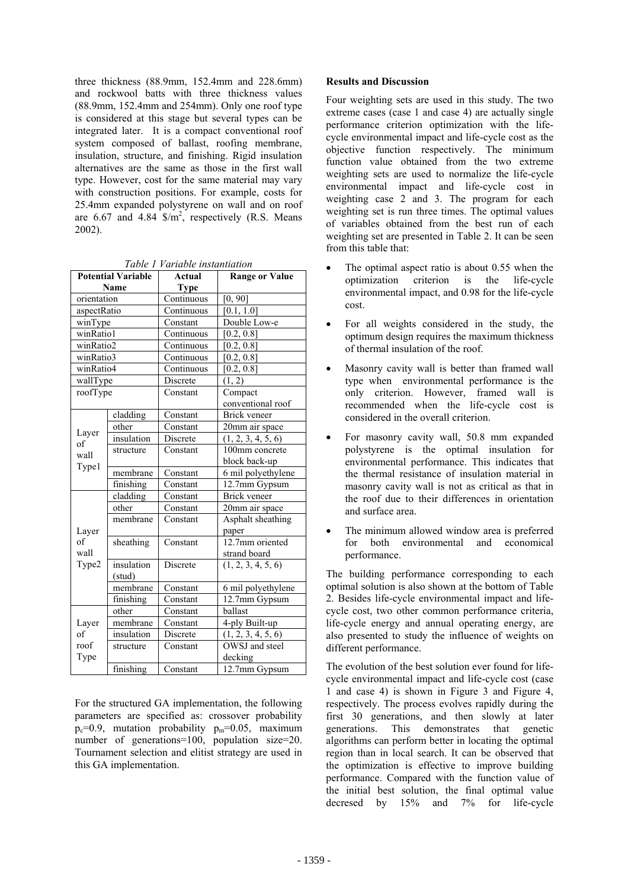three thickness (88.9mm, 152.4mm and 228.6mm) and rockwool batts with three thickness values (88.9mm, 152.4mm and 254mm). Only one roof type is considered at this stage but several types can be integrated later. It is a compact conventional roof system composed of ballast, roofing membrane, insulation, structure, and finishing. Rigid insulation alternatives are the same as those in the first wall type. However, cost for the same material may vary with construction positions. For example, costs for 25.4mm expanded polystyrene on wall and on roof are 6.67 and 4.84  $\frac{m^2}{2}$ , respectively (R.S. Means 2002).

| <b>Potential Variable</b> |            | <b>Actual</b>                  | <b>Range or Value</b> |  |
|---------------------------|------------|--------------------------------|-----------------------|--|
| Name                      |            | Type                           |                       |  |
| orientation               |            | Continuous                     | [0, 90]               |  |
| aspectRatio               |            | Continuous                     | [0.1, 1.0]            |  |
| winType                   |            | Constant                       | Double Low-e          |  |
| winRatio1                 |            | $\overline{\text{Continuous}}$ | [0.2, 0.8]            |  |
| winRatio2                 |            | Continuous                     | [0.2, 0.8]            |  |
| winRatio3                 |            | Continuous                     | [0.2, 0.8]            |  |
| winRatio4                 |            | Continuous                     | [0.2, 0.8]            |  |
| wallType                  |            | Discrete                       | (1, 2)                |  |
| roofType                  |            | Compact<br>Constant            |                       |  |
|                           |            |                                | conventional roof     |  |
| Layer<br>of               | cladding   | Constant                       | Brick veneer          |  |
|                           | other      | Constant                       | 20mm air space        |  |
|                           | insulation | Discrete                       | (1, 2, 3, 4, 5, 6)    |  |
| wall                      | structure  | Constant                       | 100mm concrete        |  |
| Type1                     |            |                                | block back-up         |  |
|                           | membrane   | Constant                       | 6 mil polyethylene    |  |
|                           | finishing  | Constant                       | $12.7$ mm Gypsum      |  |
| Layer<br>of<br>wall       | cladding   | Constant                       | <b>Brick</b> veneer   |  |
|                           | other      | Constant                       | 20mm air space        |  |
|                           | membrane   | Constant                       | Asphalt sheathing     |  |
|                           |            |                                | paper                 |  |
|                           | sheathing  | Constant                       | 12.7mm oriented       |  |
|                           |            |                                | strand board          |  |
| Type2                     | insulation | Discrete                       | (1, 2, 3, 4, 5, 6)    |  |
|                           | (stud)     |                                |                       |  |
|                           | membrane   | Constant                       | 6 mil polyethylene    |  |
|                           | finishing  | Constant                       | 12.7mm Gypsum         |  |
|                           | other      | Constant                       | ballast               |  |
| Layer<br>of               | membrane   | Constant                       | 4-ply Built-up        |  |
|                           | insulation | Discrete                       | (1, 2, 3, 4, 5, 6)    |  |
| roof                      | structure  | Constant                       | OWSJ and steel        |  |
| Type                      |            |                                | decking               |  |
|                           | finishing  | Constant                       | 12.7mm Gypsum         |  |

For the structured GA implementation, the following parameters are specified as: crossover probability  $p_c=0.9$ , mutation probability  $p_m=0.05$ , maximum number of generations=100, population size=20. Tournament selection and elitist strategy are used in this GA implementation.

#### **Results and Discussion**

Four weighting sets are used in this study. The two extreme cases (case 1 and case 4) are actually single performance criterion optimization with the lifecycle environmental impact and life-cycle cost as the objective function respectively. The minimum function value obtained from the two extreme weighting sets are used to normalize the life-cycle environmental impact and life-cycle cost in weighting case 2 and 3. The program for each weighting set is run three times. The optimal values of variables obtained from the best run of each weighting set are presented in Table 2. It can be seen from this table that:

- The optimal aspect ratio is about 0.55 when the optimization criterion is the life-cycle environmental impact, and 0.98 for the life-cycle cost.
- For all weights considered in the study, the optimum design requires the maximum thickness of thermal insulation of the roof.
- Masonry cavity wall is better than framed wall type when environmental performance is the only criterion. However, framed wall is recommended when the life-cycle cost is considered in the overall criterion.
- For masonry cavity wall, 50.8 mm expanded polystyrene is the optimal insulation for environmental performance. This indicates that the thermal resistance of insulation material in masonry cavity wall is not as critical as that in the roof due to their differences in orientation and surface area.
- The minimum allowed window area is preferred for both environmental and economical performance.

The building performance corresponding to each optimal solution is also shown at the bottom of Table 2. Besides life-cycle environmental impact and lifecycle cost, two other common performance criteria, life-cycle energy and annual operating energy, are also presented to study the influence of weights on different performance.

The evolution of the best solution ever found for lifecycle environmental impact and life-cycle cost (case 1 and case 4) is shown in Figure 3 and Figure 4, respectively. The process evolves rapidly during the first 30 generations, and then slowly at later generations. This demonstrates that genetic algorithms can perform better in locating the optimal region than in local search. It can be observed that the optimization is effective to improve building performance. Compared with the function value of the initial best solution, the final optimal value decresed by 15% and 7% for life-cycle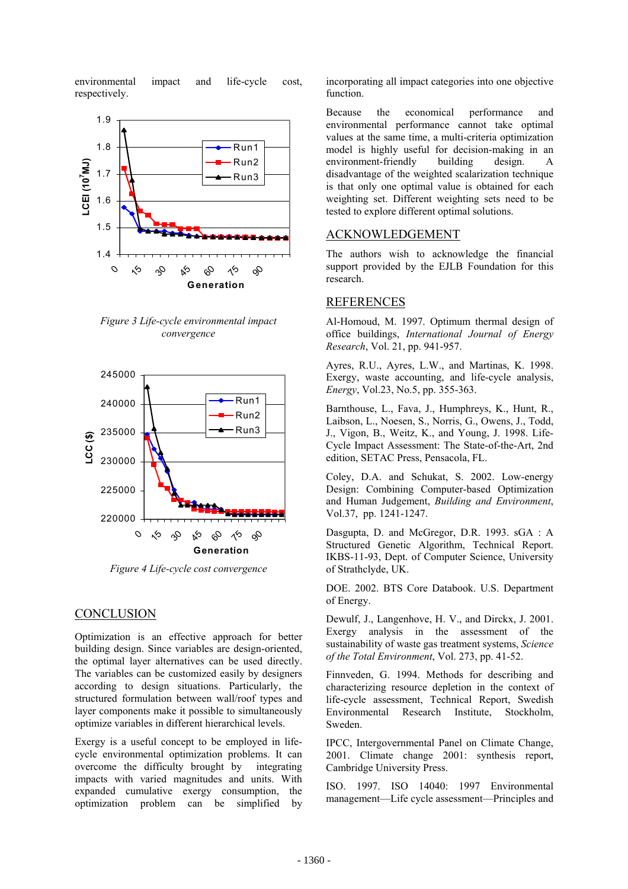environmental impact and life-cycle cost, respectively.



*Figure 3 Life-cycle environmental impact convergence* 



*Figure 4 Life-cycle cost convergence* 

### **CONCLUSION**

Optimization is an effective approach for better building design. Since variables are design-oriented, the optimal layer alternatives can be used directly. The variables can be customized easily by designers according to design situations. Particularly, the structured formulation between wall/roof types and layer components make it possible to simultaneously optimize variables in different hierarchical levels.

Exergy is a useful concept to be employed in lifecycle environmental optimization problems. It can overcome the difficulty brought by integrating impacts with varied magnitudes and units. With expanded cumulative exergy consumption, the optimization problem can be simplified by

incorporating all impact categories into one objective function.

Because the economical performance and environmental performance cannot take optimal values at the same time, a multi-criteria optimization model is highly useful for decision-making in an environment-friendly building design. A disadvantage of the weighted scalarization technique is that only one optimal value is obtained for each weighting set. Different weighting sets need to be tested to explore different optimal solutions.

### ACKNOWLEDGEMENT

The authors wish to acknowledge the financial support provided by the EJLB Foundation for this research.

#### REFERENCES

Al-Homoud, M. 1997. Optimum thermal design of office buildings, *International Journal of Energy Research*, Vol. 21, pp. 941-957.

Ayres, R.U., Ayres, L.W., and Martinas, K. 1998. Exergy, waste accounting, and life-cycle analysis, *Energy*, Vol.23, No.5, pp. 355-363.

Barnthouse, L., Fava, J., Humphreys, K., Hunt, R., Laibson, L., Noesen, S., Norris, G., Owens, J., Todd, J., Vigon, B., Weitz, K., and Young, J. 1998. Life-Cycle Impact Assessment: The State-of-the-Art, 2nd edition, SETAC Press, Pensacola, FL.

Coley, D.A. and Schukat, S. 2002. Low-energy Design: Combining Computer-based Optimization and Human Judgement, *Building and Environment*, Vol.37, pp. 1241-1247.

Dasgupta, D. and McGregor, D.R. 1993. sGA : A Structured Genetic Algorithm, Technical Report. IKBS-11-93, Dept. of Computer Science, University of Strathclyde, UK.

DOE. 2002. BTS Core Databook. U.S. Department of Energy.

Dewulf, J., Langenhove, H. V., and Dirckx, J. 2001. Exergy analysis in the assessment of the sustainability of waste gas treatment systems, *Science of the Total Environment*, Vol. 273, pp. 41-52.

Finnveden, G. 1994. Methods for describing and characterizing resource depletion in the context of life-cycle assessment, Technical Report, Swedish Environmental Research Institute, Stockholm, Sweden.

IPCC, Intergovernmental Panel on Climate Change, 2001. Climate change 2001: synthesis report, Cambridge University Press.

ISO. 1997. ISO 14040: 1997 Environmental management—Life cycle assessment—Principles and